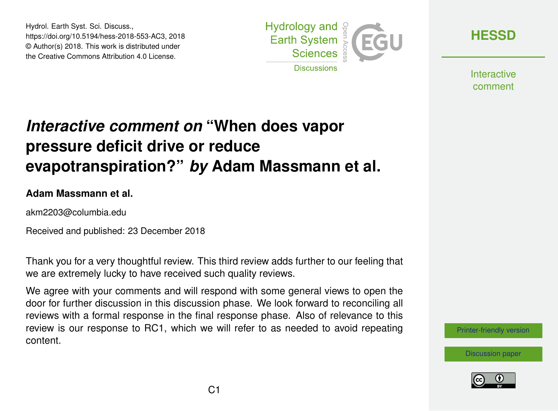Hydrol. Earth Syst. Sci. Discuss., https://doi.org/10.5194/hess-2018-553-AC3, 2018 © Author(s) 2018. This work is distributed under the Creative Commons Attribution 4.0 License.



**[HESSD](https://www.hydrol-earth-syst-sci-discuss.net/)**

**Interactive** comment

# *Interactive comment on* **"When does vapor pressure deficit drive or reduce evapotranspiration?"** *by* **Adam Massmann et al.**

#### **Adam Massmann et al.**

akm2203@columbia.edu

Received and published: 23 December 2018

Thank you for a very thoughtful review. This third review adds further to our feeling that we are extremely lucky to have received such quality reviews.

We agree with your comments and will respond with some general views to open the door for further discussion in this discussion phase. We look forward to reconciling all reviews with a formal response in the final response phase. Also of relevance to this review is our [response to RC1,](https://editor.copernicus.org/index.php/hess-2018-553-AC1.pdf?_mdl=msover_md&_jrl=13&_lcm=oc108lcm109w&_acm=get_comm_file&_ms=72556&c=153745&salt=17166479111051651323) which we will refer to as needed to avoid repeating content.

[Printer-friendly version](https://www.hydrol-earth-syst-sci-discuss.net/hess-2018-553/hess-2018-553-AC3-print.pdf)



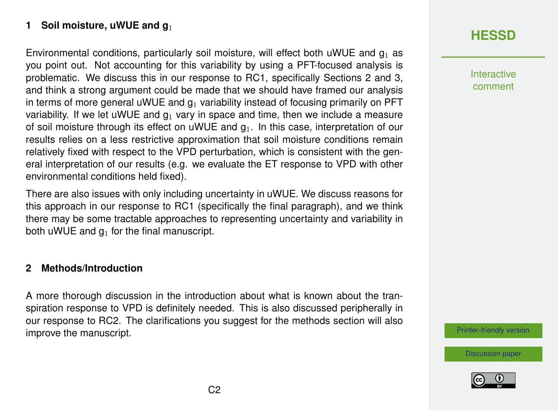### **1 Soil moisture, uWUE and g**<sup>1</sup>

Environmental conditions, particularly soil moisture, will effect both uWUE and  $q_1$  as you point out. Not accounting for this variability by using a PFT-focused analysis is problematic. We discuss this in [our response to RC1,](https://editor.copernicus.org/index.php/hess-2018-553-AC1.pdf?_mdl=msover_md&_jrl=13&_lcm=oc108lcm109w&_acm=get_comm_file&_ms=72556&c=153745&salt=17166479111051651323) specifically Sections 2 and 3, and think a strong argument could be made that we should have framed our analysis in terms of more general uWUE and  $q_1$  variability instead of focusing primarily on PFT variability. If we let uWUE and  $q_1$  vary in space and time, then we include a measure of soil moisture through its effect on uWUE and  $q_1$ . In this case, interpretation of our results relies on a less restrictive approximation that soil moisture conditions remain relatively fixed with respect to the VPD perturbation, which is consistent with the general interpretation of our results (e.g. we evaluate the ET response to VPD with other environmental conditions held fixed).

There are also issues with only including uncertainty in uWUE. We discuss reasons for this approach in our response to [RC1](https://editor.copernicus.org/index.php/hess-2018-553-AC1.pdf?_mdl=msover_md&_jrl=13&_lcm=oc108lcm109w&_acm=get_comm_file&_ms=72556&c=153745&salt=17166479111051651323) (specifically the final paragraph), and we think there may be some tractable approaches to representing uncertainty and variability in both uWUE and  $q_1$  for the final manuscript.

#### **2 Methods/Introduction**

A more thorough discussion in the introduction about what is known about the transpiration response to VPD is definitely needed. This is also discussed peripherally in our response to [RC2.](https://editor.copernicus.org/index.php/hess-2018-553-AC2.pdf?_mdl=msover_md&_jrl=13&_lcm=oc108lcm109w&_acm=get_comm_file&_ms=72556&c=154058&salt=19427645101542423504) The clarifications you suggest for the methods section will also improve the manuscript.

# **[HESSD](https://www.hydrol-earth-syst-sci-discuss.net/)**

Interactive comment

[Printer-friendly version](https://www.hydrol-earth-syst-sci-discuss.net/hess-2018-553/hess-2018-553-AC3-print.pdf)

[Discussion paper](https://www.hydrol-earth-syst-sci-discuss.net/hess-2018-553)

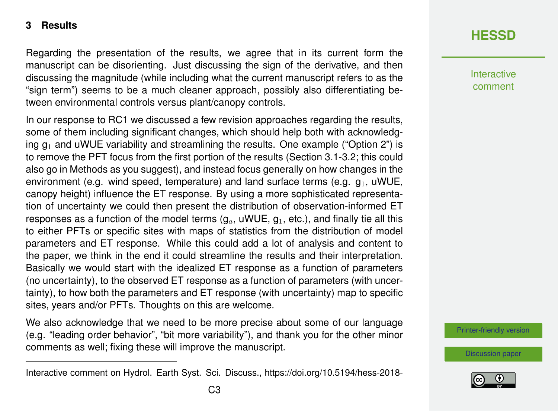#### **3 Results**

Regarding the presentation of the results, we agree that in its current form the manuscript can be disorienting. Just discussing the sign of the derivative, and then discussing the magnitude (while including what the current manuscript refers to as the "sign term") seems to be a much cleaner approach, possibly also differentiating between environmental controls versus plant/canopy controls.

In our response to RC1 we discussed a few revision approaches regarding the results, some of them including significant changes, which should help both with acknowledging  $q_1$  and uWUE variability and streamlining the results. One example ("Option 2") is to remove the PFT focus from the first portion of the results (Section 3.1-3.2; this could also go in Methods as you suggest), and instead focus generally on how changes in the environment (e.g. wind speed, temperature) and land surface terms (e.g.  $q_1$ , uWUE, canopy height) influence the ET response. By using a more sophisticated representation of uncertainty we could then present the distribution of observation-informed ET responses as a function of the model terms  $(g_a, uWUE, g_1, etc.),$  and finally tie all this to either PFTs or specific sites with maps of statistics from the distribution of model parameters and ET response. While this could add a lot of analysis and content to the paper, we think in the end it could streamline the results and their interpretation. Basically we would start with the idealized ET response as a function of parameters (no uncertainty), to the observed ET response as a function of parameters (with uncertainty), to how both the parameters and ET response (with uncertainty) map to specific sites, years and/or PFTs. Thoughts on this are welcome.

We also acknowledge that we need to be more precise about some of our language (e.g. "leading order behavior", "bit more variability"), and thank you for the other minor comments as well; fixing these will improve the manuscript.

## **[HESSD](https://www.hydrol-earth-syst-sci-discuss.net/)**

**Interactive** comment

[Printer-friendly version](https://www.hydrol-earth-syst-sci-discuss.net/hess-2018-553/hess-2018-553-AC3-print.pdf)

[Discussion paper](https://www.hydrol-earth-syst-sci-discuss.net/hess-2018-553)



Interactive comment on Hydrol. Earth Syst. Sci. Discuss., https://doi.org/10.5194/hess-2018-